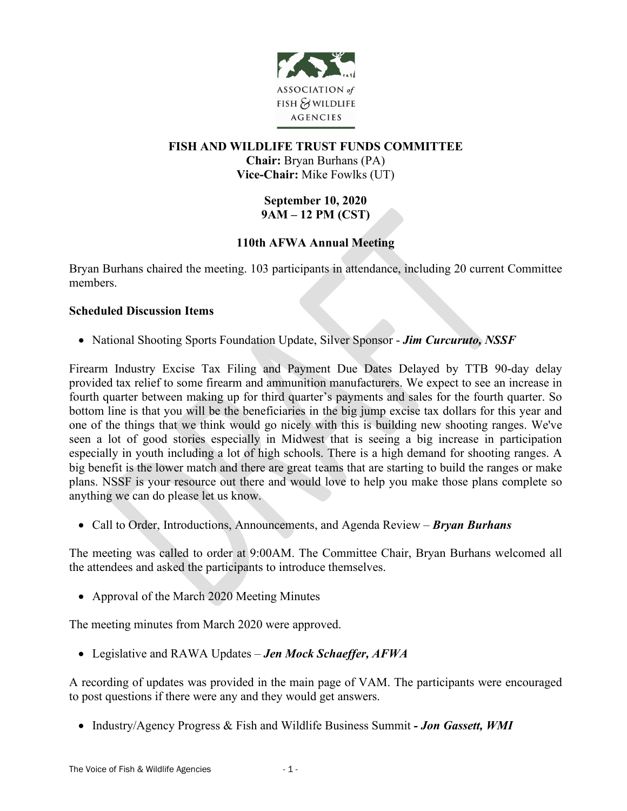

### **FISH AND WILDLIFE TRUST FUNDS COMMITTEE Chair:** Bryan Burhans (PA) **Vice-Chair:** Mike Fowlks (UT)

# **September 10, 2020 9AM – 12 PM (CST)**

## **110th AFWA Annual Meeting**

Bryan Burhans chaired the meeting. 103 participants in attendance, including 20 current Committee members.

#### **Scheduled Discussion Items**

• National Shooting Sports Foundation Update, Silver Sponsor - *Jim Curcuruto, NSSF*

Firearm Industry Excise Tax Filing and Payment Due Dates Delayed by TTB 90-day delay provided tax relief to some firearm and ammunition manufacturers. We expect to see an increase in fourth quarter between making up for third quarter's payments and sales for the fourth quarter. So bottom line is that you will be the beneficiaries in the big jump excise tax dollars for this year and one of the things that we think would go nicely with this is building new shooting ranges. We've seen a lot of good stories especially in Midwest that is seeing a big increase in participation especially in youth including a lot of high schools. There is a high demand for shooting ranges. A big benefit is the lower match and there are great teams that are starting to build the ranges or make plans. NSSF is your resource out there and would love to help you make those plans complete so anything we can do please let us know.

• Call to Order, Introductions, Announcements, and Agenda Review – *Bryan Burhans*

The meeting was called to order at 9:00AM. The Committee Chair, Bryan Burhans welcomed all the attendees and asked the participants to introduce themselves.

• Approval of the March 2020 Meeting Minutes

The meeting minutes from March 2020 were approved.

• Legislative and RAWA Updates – *Jen Mock Schaeffer, AFWA*

A recording of updates was provided in the main page of VAM. The participants were encouraged to post questions if there were any and they would get answers.

• Industry/Agency Progress & Fish and Wildlife Business Summit *- Jon Gassett, WMI*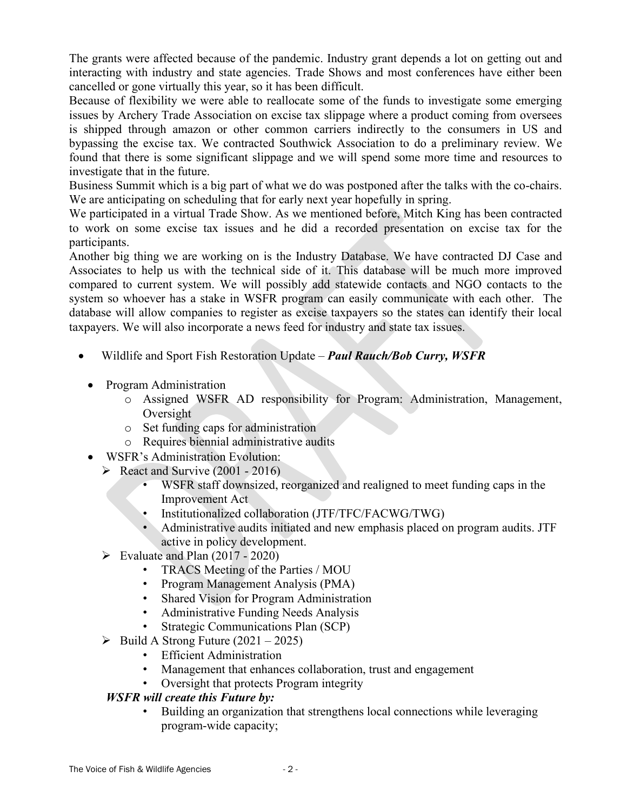The grants were affected because of the pandemic. Industry grant depends a lot on getting out and interacting with industry and state agencies. Trade Shows and most conferences have either been cancelled or gone virtually this year, so it has been difficult.

Because of flexibility we were able to reallocate some of the funds to investigate some emerging issues by Archery Trade Association on excise tax slippage where a product coming from oversees is shipped through amazon or other common carriers indirectly to the consumers in US and bypassing the excise tax. We contracted Southwick Association to do a preliminary review. We found that there is some significant slippage and we will spend some more time and resources to investigate that in the future.

Business Summit which is a big part of what we do was postponed after the talks with the co-chairs. We are anticipating on scheduling that for early next year hopefully in spring.

We participated in a virtual Trade Show. As we mentioned before, Mitch King has been contracted to work on some excise tax issues and he did a recorded presentation on excise tax for the participants.

Another big thing we are working on is the Industry Database. We have contracted DJ Case and Associates to help us with the technical side of it. This database will be much more improved compared to current system. We will possibly add statewide contacts and NGO contacts to the system so whoever has a stake in WSFR program can easily communicate with each other. The database will allow companies to register as excise taxpayers so the states can identify their local taxpayers. We will also incorporate a news feed for industry and state tax issues.

- Wildlife and Sport Fish Restoration Update *Paul Rauch/Bob Curry, WSFR*
	- Program Administration
		- o Assigned WSFR AD responsibility for Program: Administration, Management, Oversight
		- o Set funding caps for administration
		- o Requires biennial administrative audits
	- WSFR's Administration Evolution:
		- $\triangleright$  React and Survive (2001 2016)
			- WSFR staff downsized, reorganized and realigned to meet funding caps in the Improvement Act
			- Institutionalized collaboration (JTF/TFC/FACWG/TWG)
			- Administrative audits initiated and new emphasis placed on program audits. JTF active in policy development.
		- $\triangleright$  Evaluate and Plan (2017 2020)
			- TRACS Meeting of the Parties / MOU
			- Program Management Analysis (PMA)
			- Shared Vision for Program Administration
			- Administrative Funding Needs Analysis
			- Strategic Communications Plan (SCP)
		- $\triangleright$  Build A Strong Future (2021 2025)
			- Efficient Administration
			- Management that enhances collaboration, trust and engagement
			- Oversight that protects Program integrity

### *WSFR will create this Future by:*

• Building an organization that strengthens local connections while leveraging program-wide capacity;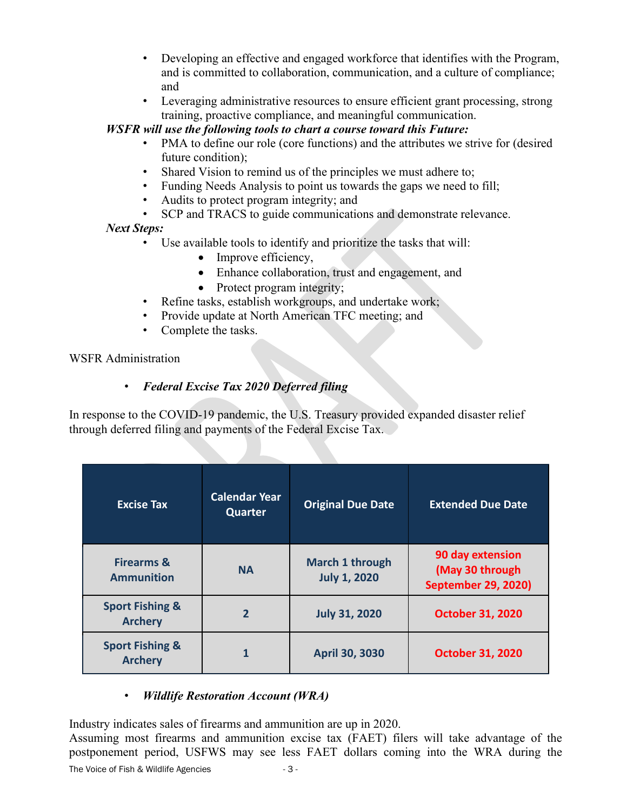- Developing an effective and engaged workforce that identifies with the Program, and is committed to collaboration, communication, and a culture of compliance; and
- Leveraging administrative resources to ensure efficient grant processing, strong training, proactive compliance, and meaningful communication.

### *WSFR will use the following tools to chart a course toward this Future:*

- PMA to define our role (core functions) and the attributes we strive for (desired future condition);
- Shared Vision to remind us of the principles we must adhere to;
- Funding Needs Analysis to point us towards the gaps we need to fill;
- Audits to protect program integrity; and
- SCP and TRACS to guide communications and demonstrate relevance.

## *Next Steps:*

- Use available tools to identify and prioritize the tasks that will:
	- Improve efficiency,
	- Enhance collaboration, trust and engagement, and
	- Protect program integrity;
- Refine tasks, establish workgroups, and undertake work;
- Provide update at North American TFC meeting; and
- Complete the tasks.

## WSFR Administration

# • *Federal Excise Tax 2020 Deferred filing*

In response to the COVID-19 pandemic, the U.S. Treasury provided expanded disaster relief through deferred filing and payments of the Federal Excise Tax.

| <b>Excise Tax</b>                            | <b>Calendar Year</b><br><b>Quarter</b> | <b>Original Due Date</b>               | <b>Extended Due Date</b>                                          |
|----------------------------------------------|----------------------------------------|----------------------------------------|-------------------------------------------------------------------|
| <b>Firearms &amp;</b><br><b>Ammunition</b>   | <b>NA</b>                              | March 1 through<br><b>July 1, 2020</b> | 90 day extension<br>(May 30 through<br><b>September 29, 2020)</b> |
| <b>Sport Fishing &amp;</b><br><b>Archery</b> | $\overline{2}$                         | <b>July 31, 2020</b>                   | <b>October 31, 2020</b>                                           |
| <b>Sport Fishing &amp;</b><br><b>Archery</b> | 1                                      | <b>April 30, 3030</b>                  | <b>October 31, 2020</b>                                           |

# • *Wildlife Restoration Account (WRA)*

Industry indicates sales of firearms and ammunition are up in 2020.

Assuming most firearms and ammunition excise tax (FAET) filers will take advantage of the postponement period, USFWS may see less FAET dollars coming into the WRA during the

The Voice of Fish & Wildlife Agencies - 3 -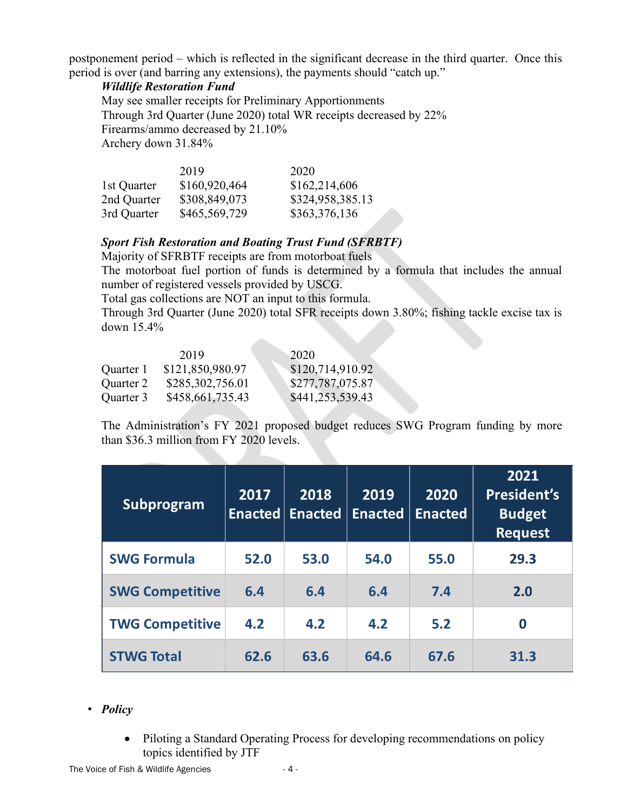postponement period – which is reflected in the significant decrease in the third quarter. Once this period is over (and barring any extensions), the payments should "catch up."

#### *Wildlife Restoration Fund*

May see smaller receipts for Preliminary Apportionments Through 3rd Quarter (June 2020) total WR receipts decreased by 22% Firearms/ammo decreased by 21.10% Archery down 31.84%

|             | 2019          | 2020             |
|-------------|---------------|------------------|
| 1st Quarter | \$160,920,464 | \$162,214,606    |
| 2nd Quarter | \$308,849,073 | \$324,958,385.13 |
| 3rd Quarter | \$465,569,729 | \$363,376,136    |

## *Sport Fish Restoration and Boating Trust Fund (SFRBTF)*

Majority of SFRBTF receipts are from motorboat fuels The motorboat fuel portion of funds is determined by a formula that includes the annual number of registered vessels provided by USCG.

Total gas collections are NOT an input to this formula.

Through 3rd Quarter (June 2020) total SFR receipts down 3.80%; fishing tackle excise tax is down 15.4%

|           | 2019             | 2020             |
|-----------|------------------|------------------|
| Quarter 1 | \$121,850,980.97 | \$120,714,910.92 |
| Quarter 2 | \$285,302,756.01 | \$277,787,075.87 |
| Quarter 3 | \$458,661,735.43 | \$441,253,539.43 |

The Administration's FY 2021 proposed budget reduces SWG Program funding by more than \$36.3 million from FY 2020 levels.

| <b>Subprogram</b>      | 2017<br><b>Enacted</b> | 2018<br><b>Enacted</b> | 2019<br><b>Enacted</b> | 2020<br><b>Enacted</b> | 2021<br><b>President's</b><br><b>Budget</b><br><b>Request</b> |
|------------------------|------------------------|------------------------|------------------------|------------------------|---------------------------------------------------------------|
| <b>SWG Formula</b>     | 52.0                   | 53.0                   | 54.0                   | 55.0                   | 29.3                                                          |
| <b>SWG Competitive</b> | 6.4                    | 6.4                    | 6.4                    | 7.4                    | 2.0                                                           |
| <b>TWG Competitive</b> | 4.2                    | 4.2                    | 4.2                    | 5.2                    | 0                                                             |
| <b>STWG Total</b>      | 62.6                   | 63.6                   | 64.6                   | 67.6                   | 31.3                                                          |

### • *Policy*

• Piloting a Standard Operating Process for developing recommendations on policy topics identified by JTF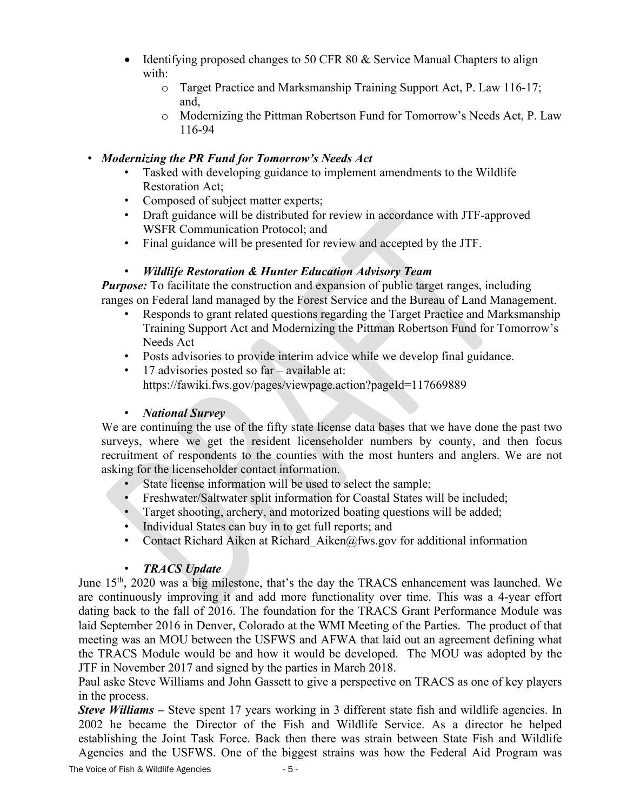- Identifying proposed changes to 50 CFR 80 & Service Manual Chapters to align with:
	- o Target Practice and Marksmanship Training Support Act, P. Law 116-17; and,
	- o Modernizing the Pittman Robertson Fund for Tomorrow's Needs Act, P. Law 116-94

### • *Modernizing the PR Fund for Tomorrow's Needs Act*

- Tasked with developing guidance to implement amendments to the Wildlife Restoration Act;
- Composed of subject matter experts;
- Draft guidance will be distributed for review in accordance with JTF-approved WSFR Communication Protocol; and
- Final guidance will be presented for review and accepted by the JTF.

## • *Wildlife Restoration & Hunter Education Advisory Team*

*Purpose:* To facilitate the construction and expansion of public target ranges, including ranges on Federal land managed by the Forest Service and the Bureau of Land Management.

- Responds to grant related questions regarding the Target Practice and Marksmanship Training Support Act and Modernizing the Pittman Robertson Fund for Tomorrow's Needs Act
- Posts advisories to provide interim advice while we develop final guidance.
- 17 advisories posted so far available at: https://fawiki.fws.gov/pages/viewpage.action?pageId=117669889

### • *National Survey*

We are continuing the use of the fifty state license data bases that we have done the past two surveys, where we get the resident licenseholder numbers by county, and then focus recruitment of respondents to the counties with the most hunters and anglers. We are not asking for the licenseholder contact information.

- State license information will be used to select the sample;
- Freshwater/Saltwater split information for Coastal States will be included;
- Target shooting, archery, and motorized boating questions will be added;
- Individual States can buy in to get full reports; and
- Contact Richard Aiken at Richard Aiken@fws.gov for additional information

# • *TRACS Update*

June  $15<sup>th</sup>$ , 2020 was a big milestone, that's the day the TRACS enhancement was launched. We are continuously improving it and add more functionality over time. This was a 4-year effort dating back to the fall of 2016. The foundation for the TRACS Grant Performance Module was laid September 2016 in Denver, Colorado at the WMI Meeting of the Parties. The product of that meeting was an MOU between the USFWS and AFWA that laid out an agreement defining what the TRACS Module would be and how it would be developed. The MOU was adopted by the JTF in November 2017 and signed by the parties in March 2018.

Paul aske Steve Williams and John Gassett to give a perspective on TRACS as one of key players in the process.

*Steve Williams* – Steve spent 17 years working in 3 different state fish and wildlife agencies. In 2002 he became the Director of the Fish and Wildlife Service. As a director he helped establishing the Joint Task Force. Back then there was strain between State Fish and Wildlife Agencies and the USFWS. One of the biggest strains was how the Federal Aid Program was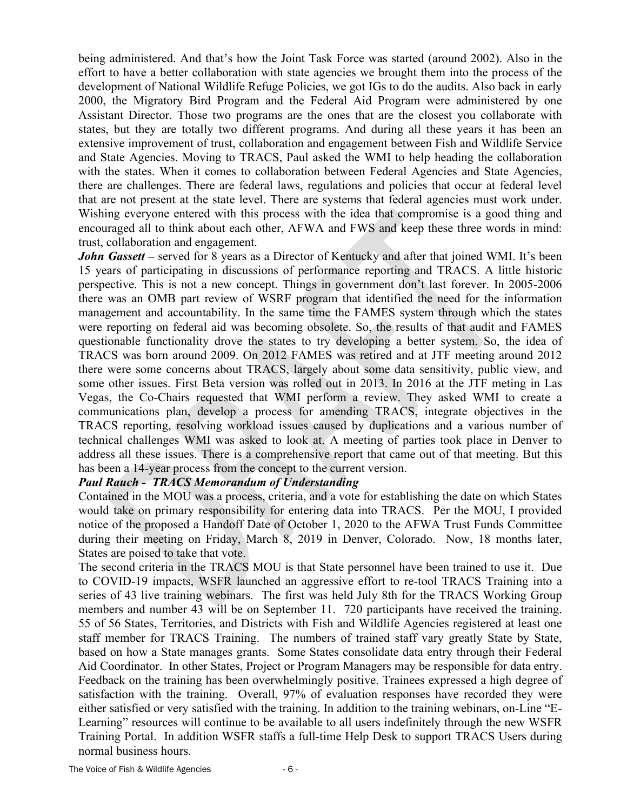being administered. And that's how the Joint Task Force was started (around 2002). Also in the effort to have a better collaboration with state agencies we brought them into the process of the development of National Wildlife Refuge Policies, we got IGs to do the audits. Also back in early 2000, the Migratory Bird Program and the Federal Aid Program were administered by one Assistant Director. Those two programs are the ones that are the closest you collaborate with states, but they are totally two different programs. And during all these years it has been an extensive improvement of trust, collaboration and engagement between Fish and Wildlife Service and State Agencies. Moving to TRACS, Paul asked the WMI to help heading the collaboration with the states. When it comes to collaboration between Federal Agencies and State Agencies, there are challenges. There are federal laws, regulations and policies that occur at federal level that are not present at the state level. There are systems that federal agencies must work under. Wishing everyone entered with this process with the idea that compromise is a good thing and encouraged all to think about each other, AFWA and FWS and keep these three words in mind: trust, collaboration and engagement.

*John Gassett* – served for 8 years as a Director of Kentucky and after that joined WMI. It's been 15 years of participating in discussions of performance reporting and TRACS. A little historic perspective. This is not a new concept. Things in government don't last forever. In 2005-2006 there was an OMB part review of WSRF program that identified the need for the information management and accountability. In the same time the FAMES system through which the states were reporting on federal aid was becoming obsolete. So, the results of that audit and FAMES questionable functionality drove the states to try developing a better system. So, the idea of TRACS was born around 2009. On 2012 FAMES was retired and at JTF meeting around 2012 there were some concerns about TRACS, largely about some data sensitivity, public view, and some other issues. First Beta version was rolled out in 2013. In 2016 at the JTF meting in Las Vegas, the Co-Chairs requested that WMI perform a review. They asked WMI to create a communications plan, develop a process for amending TRACS, integrate objectives in the TRACS reporting, resolving workload issues caused by duplications and a various number of technical challenges WMI was asked to look at. A meeting of parties took place in Denver to address all these issues. There is a comprehensive report that came out of that meeting. But this has been a 14-year process from the concept to the current version.

#### *Paul Rauch - TRACS Memorandum of Understanding*

Contained in the MOU was a process, criteria, and a vote for establishing the date on which States would take on primary responsibility for entering data into TRACS. Per the MOU, I provided notice of the proposed a Handoff Date of October 1, 2020 to the AFWA Trust Funds Committee during their meeting on Friday, March 8, 2019 in Denver, Colorado. Now, 18 months later, States are poised to take that vote.

The second criteria in the TRACS MOU is that State personnel have been trained to use it. Due to COVID-19 impacts, WSFR launched an aggressive effort to re-tool TRACS Training into a series of 43 live training webinars. The first was held July 8th for the TRACS Working Group members and number 43 will be on September 11. 720 participants have received the training. 55 of 56 States, Territories, and Districts with Fish and Wildlife Agencies registered at least one staff member for TRACS Training. The numbers of trained staff vary greatly State by State, based on how a State manages grants. Some States consolidate data entry through their Federal Aid Coordinator. In other States, Project or Program Managers may be responsible for data entry. Feedback on the training has been overwhelmingly positive. Trainees expressed a high degree of satisfaction with the training. Overall, 97% of evaluation responses have recorded they were either satisfied or very satisfied with the training. In addition to the training webinars, on-Line "E-Learning" resources will continue to be available to all users indefinitely through the new WSFR Training Portal. In addition WSFR staffs a full-time Help Desk to support TRACS Users during normal business hours.

The Voice of Fish & Wildlife Agencies - 6 -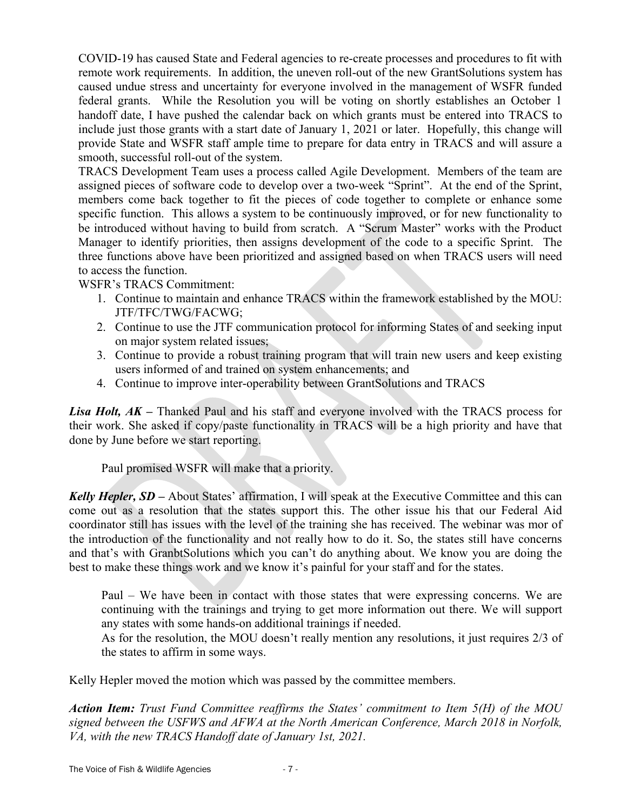COVID-19 has caused State and Federal agencies to re-create processes and procedures to fit with remote work requirements. In addition, the uneven roll-out of the new GrantSolutions system has caused undue stress and uncertainty for everyone involved in the management of WSFR funded federal grants. While the Resolution you will be voting on shortly establishes an October 1 handoff date, I have pushed the calendar back on which grants must be entered into TRACS to include just those grants with a start date of January 1, 2021 or later. Hopefully, this change will provide State and WSFR staff ample time to prepare for data entry in TRACS and will assure a smooth, successful roll-out of the system.

TRACS Development Team uses a process called Agile Development. Members of the team are assigned pieces of software code to develop over a two-week "Sprint". At the end of the Sprint, members come back together to fit the pieces of code together to complete or enhance some specific function. This allows a system to be continuously improved, or for new functionality to be introduced without having to build from scratch. A "Scrum Master" works with the Product Manager to identify priorities, then assigns development of the code to a specific Sprint. The three functions above have been prioritized and assigned based on when TRACS users will need to access the function.

WSFR's TRACS Commitment:

- 1. Continue to maintain and enhance TRACS within the framework established by the MOU: JTF/TFC/TWG/FACWG;
- 2. Continue to use the JTF communication protocol for informing States of and seeking input on major system related issues;
- 3. Continue to provide a robust training program that will train new users and keep existing users informed of and trained on system enhancements; and
- 4. Continue to improve inter-operability between GrantSolutions and TRACS

*Lisa Holt, AK –* Thanked Paul and his staff and everyone involved with the TRACS process for their work. She asked if copy/paste functionality in TRACS will be a high priority and have that done by June before we start reporting.

Paul promised WSFR will make that a priority.

*Kelly Hepler, SD* – About States' affirmation, I will speak at the Executive Committee and this can come out as a resolution that the states support this. The other issue his that our Federal Aid coordinator still has issues with the level of the training she has received. The webinar was mor of the introduction of the functionality and not really how to do it. So, the states still have concerns and that's with GranbtSolutions which you can't do anything about. We know you are doing the best to make these things work and we know it's painful for your staff and for the states.

Paul – We have been in contact with those states that were expressing concerns. We are continuing with the trainings and trying to get more information out there. We will support any states with some hands-on additional trainings if needed.

As for the resolution, the MOU doesn't really mention any resolutions, it just requires 2/3 of the states to affirm in some ways.

Kelly Hepler moved the motion which was passed by the committee members.

*Action Item: Trust Fund Committee reaffirms the States' commitment to Item 5(H) of the MOU signed between the USFWS and AFWA at the North American Conference, March 2018 in Norfolk, VA, with the new TRACS Handoff date of January 1st, 2021.*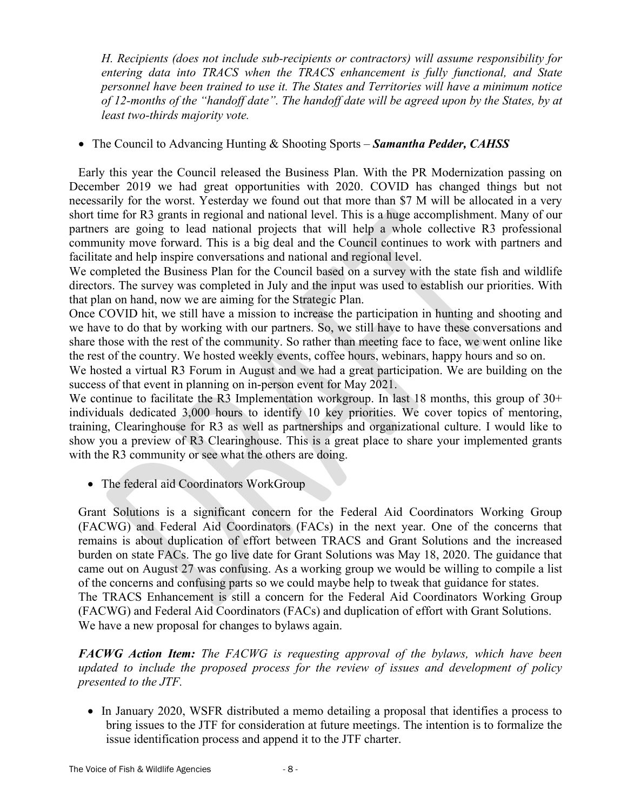*H. Recipients (does not include sub-recipients or contractors) will assume responsibility for entering data into TRACS when the TRACS enhancement is fully functional, and State personnel have been trained to use it. The States and Territories will have a minimum notice of 12-months of the "handoff date". The handoff date will be agreed upon by the States, by at least two-thirds majority vote.*

### • The Council to Advancing Hunting & Shooting Sports – *Samantha Pedder, CAHSS*

Early this year the Council released the Business Plan. With the PR Modernization passing on December 2019 we had great opportunities with 2020. COVID has changed things but not necessarily for the worst. Yesterday we found out that more than \$7 M will be allocated in a very short time for R3 grants in regional and national level. This is a huge accomplishment. Many of our partners are going to lead national projects that will help a whole collective R3 professional community move forward. This is a big deal and the Council continues to work with partners and facilitate and help inspire conversations and national and regional level.

We completed the Business Plan for the Council based on a survey with the state fish and wildlife directors. The survey was completed in July and the input was used to establish our priorities. With that plan on hand, now we are aiming for the Strategic Plan.

Once COVID hit, we still have a mission to increase the participation in hunting and shooting and we have to do that by working with our partners. So, we still have to have these conversations and share those with the rest of the community. So rather than meeting face to face, we went online like the rest of the country. We hosted weekly events, coffee hours, webinars, happy hours and so on.

We hosted a virtual R3 Forum in August and we had a great participation. We are building on the success of that event in planning on in-person event for May 2021.

We continue to facilitate the R3 Implementation workgroup. In last 18 months, this group of  $30<sup>+</sup>$ individuals dedicated 3,000 hours to identify 10 key priorities. We cover topics of mentoring, training, Clearinghouse for R3 as well as partnerships and organizational culture. I would like to show you a preview of R3 Clearinghouse. This is a great place to share your implemented grants with the R3 community or see what the others are doing.

• The federal aid Coordinators WorkGroup

Grant Solutions is a significant concern for the Federal Aid Coordinators Working Group (FACWG) and Federal Aid Coordinators (FACs) in the next year. One of the concerns that remains is about duplication of effort between TRACS and Grant Solutions and the increased burden on state FACs. The go live date for Grant Solutions was May 18, 2020. The guidance that came out on August 27 was confusing. As a working group we would be willing to compile a list of the concerns and confusing parts so we could maybe help to tweak that guidance for states. The TRACS Enhancement is still a concern for the Federal Aid Coordinators Working Group (FACWG) and Federal Aid Coordinators (FACs) and duplication of effort with Grant Solutions. We have a new proposal for changes to bylaws again.

*FACWG Action Item: The FACWG is requesting approval of the bylaws, which have been updated to include the proposed process for the review of issues and development of policy presented to the JTF.*

• In January 2020, WSFR distributed a memo detailing a proposal that identifies a process to bring issues to the JTF for consideration at future meetings. The intention is to formalize the issue identification process and append it to the JTF charter.